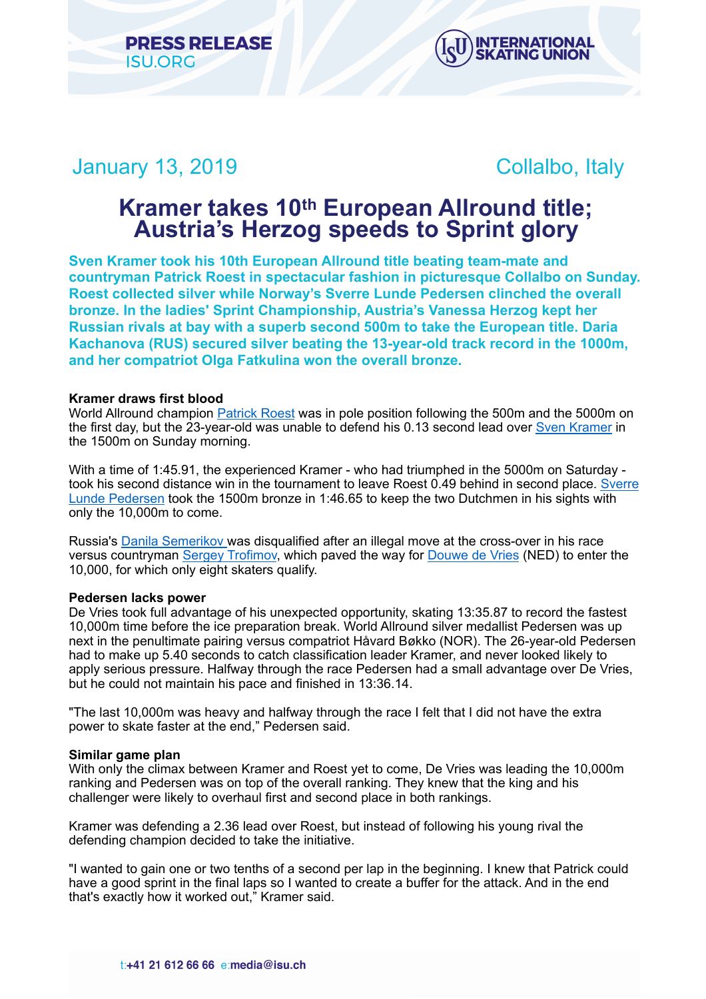



# January 13, 2019 Collalbo, Italy

# **Kramer takes 10th European Allround title; Austria's Herzog speeds to Sprint glory**

**Sven Kramer took his 10th European Allround title beating team-mate and countryman Patrick Roest in spectacular fashion in picturesque Collalbo on Sunday. Roest collected silver while Norway's Sverre Lunde Pedersen clinched the overall bronze. In the ladies' Sprint Championship, Austria's Vanessa Herzog kept her Russian rivals at bay with a superb second 500m to take the European title. Daria Kachanova (RUS) secured silver beating the 13-year-old track record in the 1000m, and her compatriot Olga Fatkulina won the overall bronze.** 

# **Kramer draws first blood**

World Allround champion [Patrick Roest](https://isu.html.infostradasports.com/asp/redirect/isu.asp?page=PERSONBIO_SS&personid=1184564&sportid=103&cache=2) was in pole position following the 500m and the 5000m on the first day, but the 23-year-old was unable to defend his 0.13 second lead over [Sven Kramer](https://isu.html.infostradasports.com/asp/redirect/isu.asp?page=PERSONBIO_SS&personid=170973&sportid=103&cache=2) in the 1500m on Sunday morning.

With a time of 1:45.91, the experienced Kramer - who had triumphed in the 5000m on Saturday took his second distance win in the tournament to leave Roest 0.49 behind in second place. Sverre [Lunde Pedersen](https://isu.html.infostradasports.com/asp/redirect/isu.asp?page=PERSONBIO_SS&personid=701784&sportid=103&cache=2) took the 1500m bronze in 1:46.65 to keep the two Dutchmen in his sights with only the 10,000m to come.

Russia's [Danila Semerikov](https://isu.html.infostradasports.com/asp/redirect/isu.asp?page=PERSONBIO_SS&personid=1062760&sportid=103&cache=2) was disqualified after an illegal move at the cross-over in his race versus countryman [Sergey Trofimov](https://isu.html.infostradasports.com/asp/redirect/isu.asp?page=PERSONBIO_SS&personid=1223486&sportid=103&cache=2), which paved the way for [Douwe de Vries](https://isu.html.infostradasports.com/asp/redirect/isu.asp?page=PERSONBIO_SS&personid=159090&sportid=103&cache=2) (NED) to enter the 10,000, for which only eight skaters qualify.

# **Pedersen lacks power**

De Vries took full advantage of his unexpected opportunity, skating 13:35.87 to record the fastest 10,000m time before the ice preparation break. World Allround silver medallist Pedersen was up next in the penultimate pairing versus compatriot Håvard Bøkko (NOR). The 26-year-old Pedersen had to make up 5.40 seconds to catch classification leader Kramer, and never looked likely to apply serious pressure. Halfway through the race Pedersen had a small advantage over De Vries, but he could not maintain his pace and finished in 13:36.14.

"The last 10,000m was heavy and halfway through the race I felt that I did not have the extra power to skate faster at the end," Pedersen said.

# **Similar game plan**

With only the climax between Kramer and Roest yet to come, De Vries was leading the 10,000m ranking and Pedersen was on top of the overall ranking. They knew that the king and his challenger were likely to overhaul first and second place in both rankings.

Kramer was defending a 2.36 lead over Roest, but instead of following his young rival the defending champion decided to take the initiative.

"I wanted to gain one or two tenths of a second per lap in the beginning. I knew that Patrick could have a good sprint in the final laps so I wanted to create a buffer for the attack. And in the end that's exactly how it worked out," Kramer said.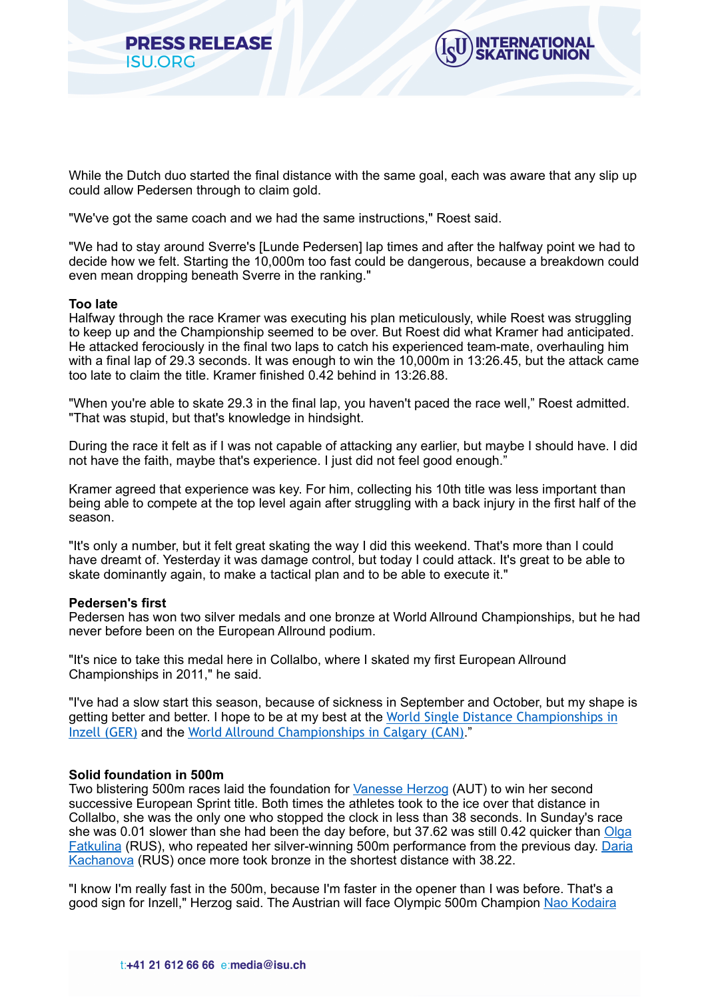



While the Dutch duo started the final distance with the same goal, each was aware that any slip up could allow Pedersen through to claim gold.

"We've got the same coach and we had the same instructions," Roest said.

"We had to stay around Sverre's [Lunde Pedersen] lap times and after the halfway point we had to decide how we felt. Starting the 10,000m too fast could be dangerous, because a breakdown could even mean dropping beneath Sverre in the ranking."

#### **Too late**

Halfway through the race Kramer was executing his plan meticulously, while Roest was struggling to keep up and the Championship seemed to be over. But Roest did what Kramer had anticipated. He attacked ferociously in the final two laps to catch his experienced team-mate, overhauling him with a final lap of 29.3 seconds. It was enough to win the 10,000m in 13:26.45, but the attack came too late to claim the title. Kramer finished 0.42 behind in 13:26.88.

"When you're able to skate 29.3 in the final lap, you haven't paced the race well," Roest admitted. "That was stupid, but that's knowledge in hindsight.

During the race it felt as if I was not capable of attacking any earlier, but maybe I should have. I did not have the faith, maybe that's experience. I just did not feel good enough."

Kramer agreed that experience was key. For him, collecting his 10th title was less important than being able to compete at the top level again after struggling with a back injury in the first half of the season.

"It's only a number, but it felt great skating the way I did this weekend. That's more than I could have dreamt of. Yesterday it was damage control, but today I could attack. It's great to be able to skate dominantly again, to make a tactical plan and to be able to execute it."

#### **Pedersen's first**

Pedersen has won two silver medals and one bronze at World Allround Championships, but he had never before been on the European Allround podium.

"It's nice to take this medal here in Collalbo, where I skated my first European Allround Championships in 2011," he said.

"I've had a slow start this season, because of sickness in September and October, but my shape is getting better and better. I hope to be at my best at the [World Single Distance Championships in](https://www.isu.org/speed-skating/events/speed-skating-calendar/eventdetail/11204/-/isu-world-single-distances-speed-skating-championships?templateParam=11)  [Inzell \(GER\)](https://www.isu.org/speed-skating/events/speed-skating-calendar/eventdetail/11204/-/isu-world-single-distances-speed-skating-championships?templateParam=11) and the [World Allround Championships in Calgary \(CAN\)](https://www.isu.org/events/eventdetail/11206/-/isu-world-allround-speed-skating-championships?templateParam=11)."

# **Solid foundation in 500m**

Two blistering 500m races laid the foundation for [Vanesse Herzog](https://isu.html.infostradasports.com/asp/redirect/isu.asp?page=PERSONBIO_SS&personid=818550&sportid=103&cache=2) (AUT) to win her second successive European Sprint title. Both times the athletes took to the ice over that distance in Collalbo, she was the only one who stopped the clock in less than 38 seconds. In Sunday's race she was 0.01 slower than she had been the day before, but 37.62 was still 0.42 quicker than Olga [Fatkulina](https://isu.html.infostradasports.com/asp/redirect/isu.asp?page=PERSONBIO_SS&personid=720273&sportid=103&cache=2) (RUS), who repeated her silver-winning 500m performance from the previous day. [Daria](https://isu.html.infostradasports.com/asp/redirect/isu.asp?page=PERSONBIO_SS&personid=1246977&sportid=103&cache=2)  [Kachanova](https://isu.html.infostradasports.com/asp/redirect/isu.asp?page=PERSONBIO_SS&personid=1246977&sportid=103&cache=2) (RUS) once more took bronze in the shortest distance with 38.22.

"I know I'm really fast in the 500m, because I'm faster in the opener than I was before. That's a good sign for Inzell," Herzog said. The Austrian will face Olympic 500m Champion [Nao Kodaira](https://isu.html.infostradasports.com/asp/redirect/isu.asp?page=PERSONBIO_SS&personid=234611&sportid=103&cache=2)